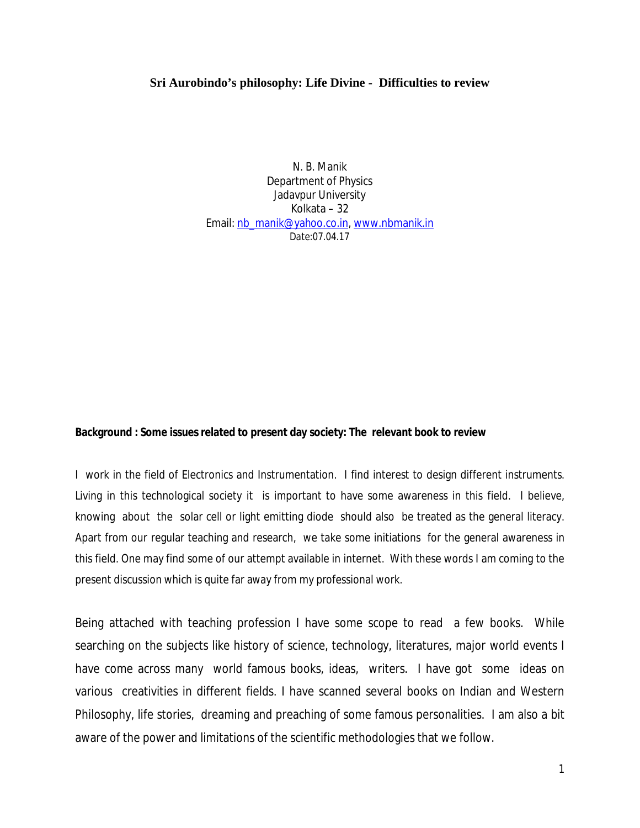# **Sri Aurobindo's philosophy: Life Divine - Difficulties to review**

N. B. Manik Department of Physics Jadavpur University Kolkata – 32 Email: nb\_manik@yahoo.co.in[, www.nbmanik.in](http://www.nbmanik.in/) *Date:07.04.17*

**Background : Some issues related to present day society: The relevant book to review**

I work in the field of Electronics and Instrumentation. I find interest to design different instruments. Living in this technological society it is important to have some awareness in this field. I believe, knowing about the solar cell or light emitting diode should also be treated as the general literacy. Apart from our regular teaching and research, we take some initiations for the general awareness in this field. One may find some of our attempt available in internet. With these words I am coming to the present discussion which is quite far away from my professional work.

Being attached with teaching profession I have some scope to read a few books. While searching on the subjects like history of science, technology, literatures, major world events I have come across many world famous books, ideas, writers. I have got some ideas on various creativities in different fields. I have scanned several books on Indian and Western Philosophy, life stories, dreaming and preaching of some famous personalities. I am also a bit aware of the power and limitations of the scientific methodologies that we follow.

1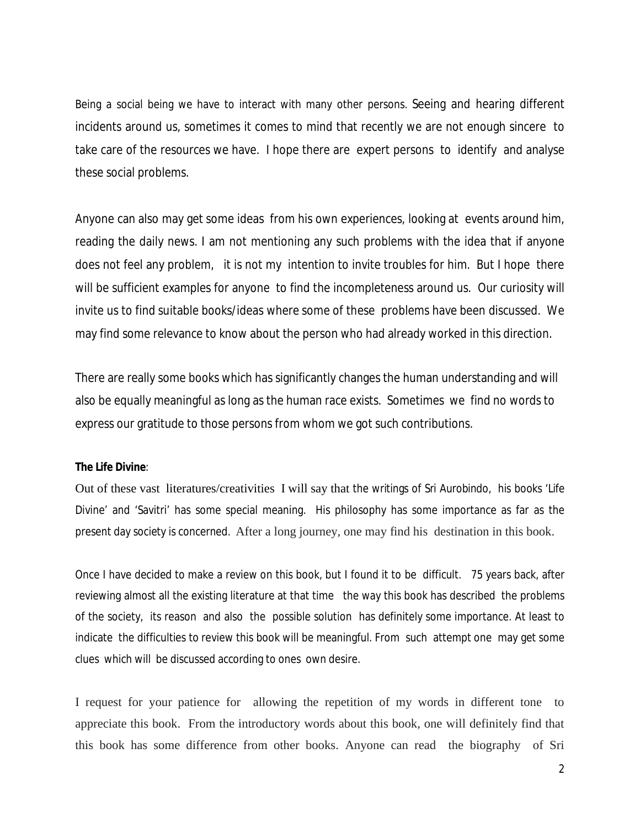Being a social being we have to interact with many other persons. Seeing and hearing different incidents around us, sometimes it comes to mind that recently we are not enough sincere to take care of the resources we have. I hope there are expert persons to identify and analyse these social problems.

Anyone can also may get some ideas from his own experiences, looking at events around him, reading the daily news. I am not mentioning any such problems with the idea that if anyone does not feel any problem, it is not my intention to invite troubles for him. But I hope there will be sufficient examples for anyone to find the incompleteness around us. Our curiosity will invite us to find suitable books/ideas where some of these problems have been discussed. We may find some relevance to know about the person who had already worked in this direction.

There are really some books which has significantly changes the human understanding and will also be equally meaningful as long as the human race exists. Sometimes we find no words to express our gratitude to those persons from whom we got such contributions.

# **The Life Divine**:

Out of these vast literatures/creativities I will say that the writings of Sri Aurobindo, his books 'Life Divine' and 'Savitri' has some special meaning. His philosophy has some importance as far as the present day society is concerned. After a long journey, one may find his destination in this book.

Once I have decided to make a review on this book, but I found it to be difficult. 75 years back, after reviewing almost all the existing literature at that time the way this book has described the problems of the society, its reason and also the possible solution has definitely some importance. At least to indicate the difficulties to review this book will be meaningful. From such attempt one may get some clues which will be discussed according to ones own desire.

I request for your patience for allowing the repetition of my words in different tone to appreciate this book. From the introductory words about this book, one will definitely find that this book has some difference from other books. Anyone can read the biography of Sri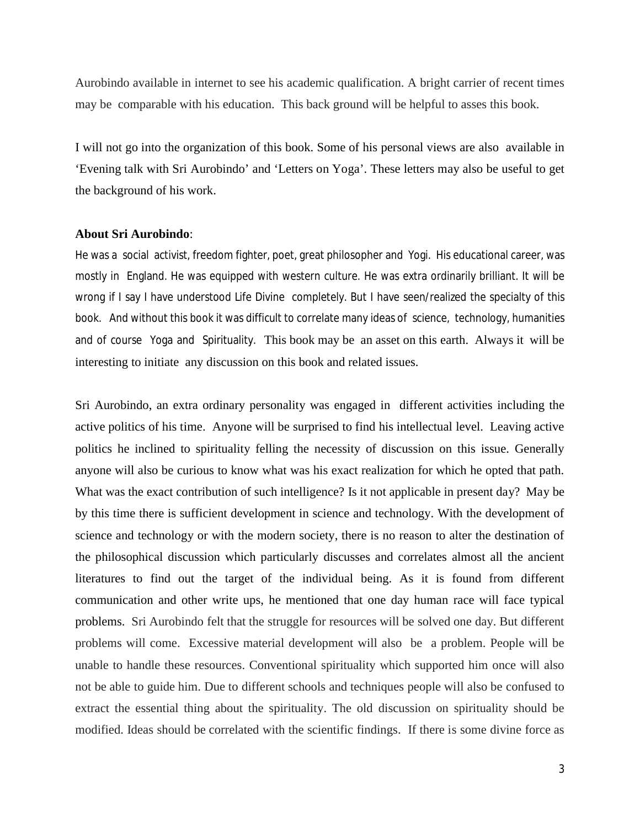Aurobindo available in internet to see his academic qualification. A bright carrier of recent times may be comparable with his education. This back ground will be helpful to asses this book.

I will not go into the organization of this book. Some of his personal views are also available in 'Evening talk with Sri Aurobindo' and 'Letters on Yoga'. These letters may also be useful to get the background of his work.

## **About Sri Aurobindo**:

He was a social activist, freedom fighter, poet, great philosopher and Yogi. His educational career, was mostly in England. He was equipped with western culture. He was extra ordinarily brilliant. It will be wrong if I say I have understood Life Divine completely. But I have seen/realized the specialty of this book. And without this book it was difficult to correlate many ideas of science, technology, humanities and of course Yoga and Spirituality. This book may be an asset on this earth. Always it will be interesting to initiate any discussion on this book and related issues.

Sri Aurobindo, an extra ordinary personality was engaged in different activities including the active politics of his time. Anyone will be surprised to find his intellectual level. Leaving active politics he inclined to spirituality felling the necessity of discussion on this issue. Generally anyone will also be curious to know what was his exact realization for which he opted that path. What was the exact contribution of such intelligence? Is it not applicable in present day? May be by this time there is sufficient development in science and technology. With the development of science and technology or with the modern society, there is no reason to alter the destination of the philosophical discussion which particularly discusses and correlates almost all the ancient literatures to find out the target of the individual being. As it is found from different communication and other write ups, he mentioned that one day human race will face typical problems. Sri Aurobindo felt that the struggle for resources will be solved one day. But different problems will come. Excessive material development will also be a problem. People will be unable to handle these resources. Conventional spirituality which supported him once will also not be able to guide him. Due to different schools and techniques people will also be confused to extract the essential thing about the spirituality. The old discussion on spirituality should be modified. Ideas should be correlated with the scientific findings. If there is some divine force as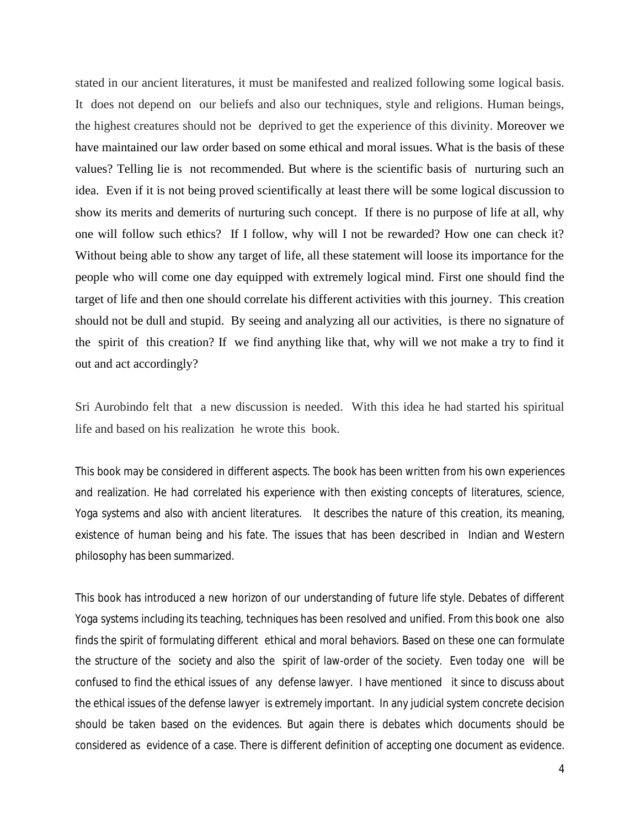stated in our ancient literatures, it must be manifested and realized following some logical basis. It does not depend on our beliefs and also our techniques, style and religions. Human beings, the highest creatures should not be deprived to get the experience of this divinity. Moreover we have maintained our law order based on some ethical and moral issues. What is the basis of these values? Telling lie is not recommended. But where is the scientific basis of nurturing such an idea. Even if it is not being proved scientifically at least there will be some logical discussion to show its merits and demerits of nurturing such concept. If there is no purpose of life at all, why one will follow such ethics? If I follow, why will I not be rewarded? How one can check it? Without being able to show any target of life, all these statement will loose its importance for the people who will come one day equipped with extremely logical mind. First one should find the target of life and then one should correlate his different activities with this journey. This creation should not be dull and stupid. By seeing and analyzing all our activities, is there no signature of the spirit of this creation? If we find anything like that, why will we not make a try to find it out and act accordingly?

Sri Aurobindo felt that a new discussion is needed. With this idea he had started his spiritual life and based on his realization he wrote this book.

This book may be considered in different aspects. The book has been written from his own experiences and realization. He had correlated his experience with then existing concepts of literatures, science, Yoga systems and also with ancient literatures. It describes the nature of this creation, its meaning, existence of human being and his fate. The issues that has been described in Indian and Western philosophy has been summarized.

This book has introduced a new horizon of our understanding of future life style. Debates of different Yoga systems including its teaching, techniques has been resolved and unified. From this book one also finds the spirit of formulating different ethical and moral behaviors. Based on these one can formulate the structure of the society and also the spirit of law-order of the society. Even today one will be confused to find the ethical issues of any defense lawyer. I have mentioned it since to discuss about the ethical issues of the defense lawyer is extremely important. In any judicial system concrete decision should be taken based on the evidences. But again there is debates which documents should be considered as evidence of a case. There is different definition of accepting one document as evidence.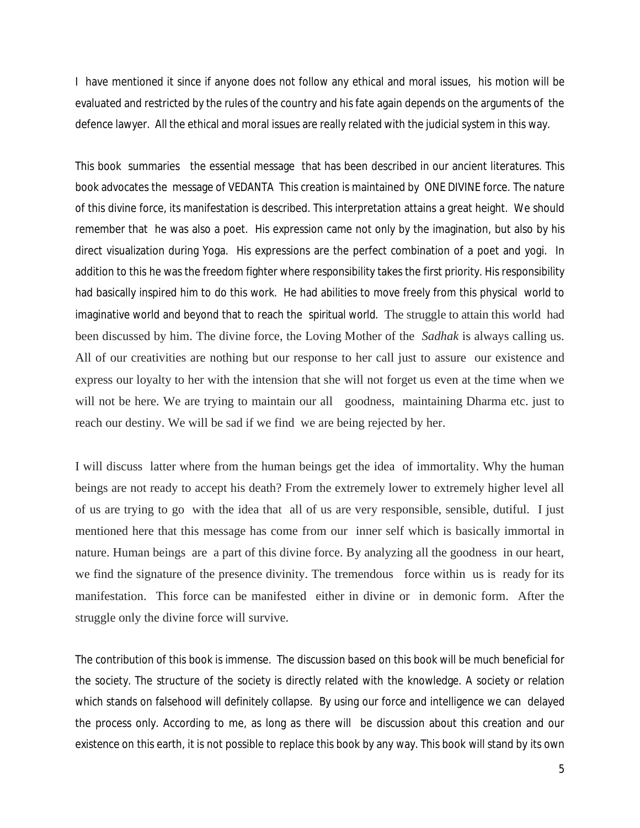I have mentioned it since if anyone does not follow any ethical and moral issues, his motion will be evaluated and restricted by the rules of the country and his fate again depends on the arguments of the defence lawyer. All the ethical and moral issues are really related with the judicial system in this way.

This book summaries the essential message that has been described in our ancient literatures. This book advocates the message of *VEDANTA* This creation is maintained by ONE DIVINE force. The nature of this divine force, its manifestation is described. This interpretation attains a great height. We should remember that he was also a poet. His expression came not only by the imagination, but also by his direct visualization during Yoga. His expressions are the perfect combination of a poet and yogi. In addition to this he was the freedom fighter where responsibility takes the first priority. His responsibility had basically inspired him to do this work. He had abilities to move freely from this physical world to imaginative world and beyond that to reach the spiritual world. The struggle to attain this world had been discussed by him. The divine force, the Loving Mother of the *Sadhak* is always calling us. All of our creativities are nothing but our response to her call just to assure our existence and express our loyalty to her with the intension that she will not forget us even at the time when we will not be here. We are trying to maintain our all goodness, maintaining Dharma etc. just to reach our destiny. We will be sad if we find we are being rejected by her.

I will discuss latter where from the human beings get the idea of immortality. Why the human beings are not ready to accept his death? From the extremely lower to extremely higher level all of us are trying to go with the idea that all of us are very responsible, sensible, dutiful. I just mentioned here that this message has come from our inner self which is basically immortal in nature. Human beings are a part of this divine force. By analyzing all the goodness in our heart, we find the signature of the presence divinity. The tremendous force within us is ready for its manifestation. This force can be manifested either in divine or in demonic form. After the struggle only the divine force will survive.

The contribution of this book is immense. The discussion based on this book will be much beneficial for the society. The structure of the society is directly related with the knowledge. A society or relation which stands on falsehood will definitely collapse. By using our force and intelligence we can delayed the process only. According to me, as long as there will be discussion about this creation and our existence on this earth, it is not possible to replace this book by any way. This book will stand by its own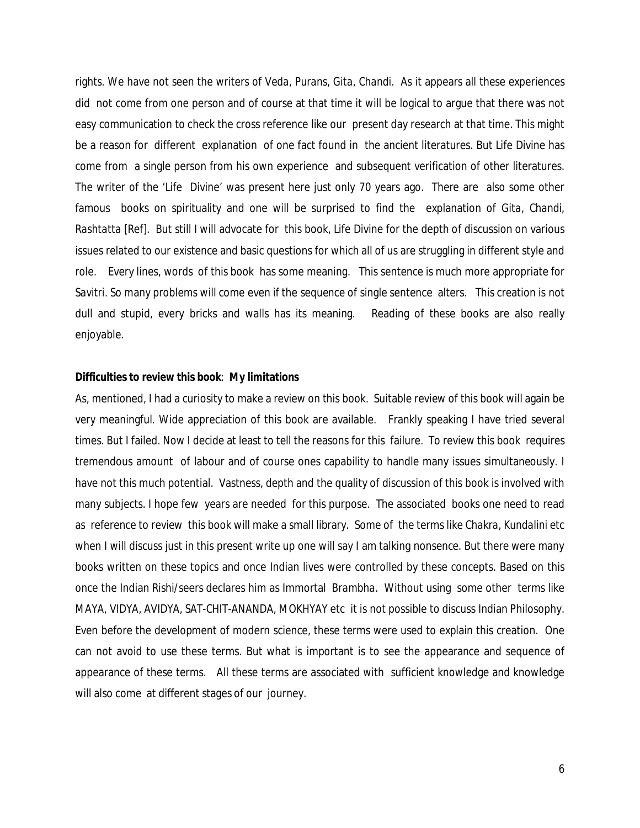rights. We have not seen the writers of *Veda, Purans, Gita, Chandi.* As it appears all these experiences did not come from one person and of course at that time it will be logical to argue that there was not easy communication to check the cross reference like our present day research at that time. This might be a reason for different explanation of one fact found in the ancient literatures. But Life Divine has come from a single person from his own experience and subsequent verification of other literatures. The writer of the 'Life Divine' was present here just only 70 years ago. There are also some other famous books on spirituality and one will be surprised to find the explanation of *Gita, Chandi, Rashtatta* [Ref]. But still I will advocate for this book, Life Divine for the depth of discussion on various issues related to our existence and basic questions for which all of us are struggling in different style and role. Every lines, words of this book has some meaning. This sentence is much more appropriate for *Savitri*. So many problems will come even if the sequence of single sentence alters. This creation is not dull and stupid, every bricks and walls has its meaning. Reading of these books are also really enjoyable.

#### **Difficulties to review this book**: **My limitations**

As, mentioned, I had a curiosity to make a review on this book. Suitable review of this book will again be very meaningful. Wide appreciation of this book are available. Frankly speaking I have tried several times. But I failed. Now I decide at least to tell the reasons for this failure. To review this book requires tremendous amount of labour and of course ones capability to handle many issues simultaneously. I have not this much potential. Vastness, depth and the quality of discussion of this book is involved with many subjects. I hope few years are needed for this purpose. The associated books one need to read as reference to review this book will make a small library. Some of the terms like *Chakra, Kundalini* etc when I will discuss just in this present write up one will say I am talking nonsence. But there were many books written on these topics and once Indian lives were controlled by these concepts. Based on this once the Indian Rishi/seers declares him as Immortal B*rambha*. Without using some other terms like *MAYA, VIDYA, AVIDYA, SAT-CHIT-ANANDA, MOKHYAY* etc it is not possible to discuss Indian Philosophy. Even before the development of modern science, these terms were used to explain this creation. One can not avoid to use these terms. But what is important is to see the appearance and sequence of appearance of these terms. All these terms are associated with sufficient knowledge and knowledge will also come at different stages of our journey.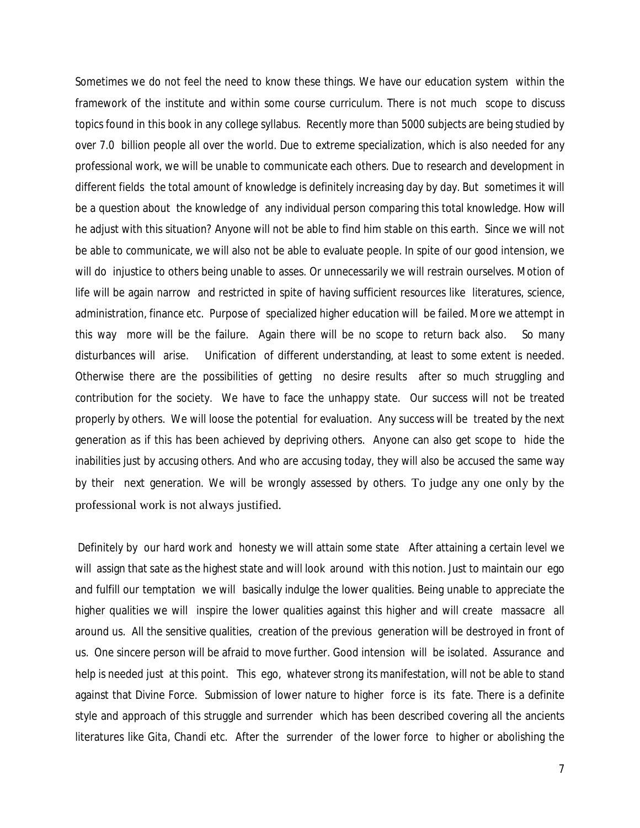Sometimes we do not feel the need to know these things. We have our education system within the framework of the institute and within some course curriculum. There is not much scope to discuss topics found in this book in any college syllabus. Recently more than 5000 subjects are being studied by over 7.0 billion people all over the world. Due to extreme specialization, which is also needed for any professional work, we will be unable to communicate each others. Due to research and development in different fields the total amount of knowledge is definitely increasing day by day. But sometimes it will be a question about the knowledge of any individual person comparing this total knowledge. How will he adjust with this situation? Anyone will not be able to find him stable on this earth. Since we will not be able to communicate, we will also not be able to evaluate people. In spite of our good intension, we will do injustice to others being unable to asses. Or unnecessarily we will restrain ourselves. Motion of life will be again narrow and restricted in spite of having sufficient resources like literatures, science, administration, finance etc. Purpose of specialized higher education will be failed. More we attempt in this way more will be the failure. Again there will be no scope to return back also. So many disturbances will arise. Unification of different understanding, at least to some extent is needed. Otherwise there are the possibilities of getting no desire results after so much struggling and contribution for the society. We have to face the unhappy state. Our success will not be treated properly by others. We will loose the potential for evaluation. Any success will be treated by the next generation as if this has been achieved by depriving others. Anyone can also get scope to hide the inabilities just by accusing others. And who are accusing today, they will also be accused the same way by their next generation. We will be wrongly assessed by others. To judge any one only by the professional work is not always justified.

Definitely by our hard work and honesty we will attain some state After attaining a certain level we will assign that sate as the highest state and will look around with this notion. Just to maintain our ego and fulfill our temptation we will basically indulge the lower qualities. Being unable to appreciate the higher qualities we will inspire the lower qualities against this higher and will create massacre all around us. All the sensitive qualities, creation of the previous generation will be destroyed in front of us. One sincere person will be afraid to move further. Good intension will be isolated. Assurance and help is needed just at this point. This ego, whatever strong its manifestation, will not be able to stand against that Divine Force. Submission of lower nature to higher force is its fate. There is a definite style and approach of this struggle and surrender which has been described covering all the ancients literatures like *Gita, Chandi* etc. After the surrender of the lower force to higher or abolishing the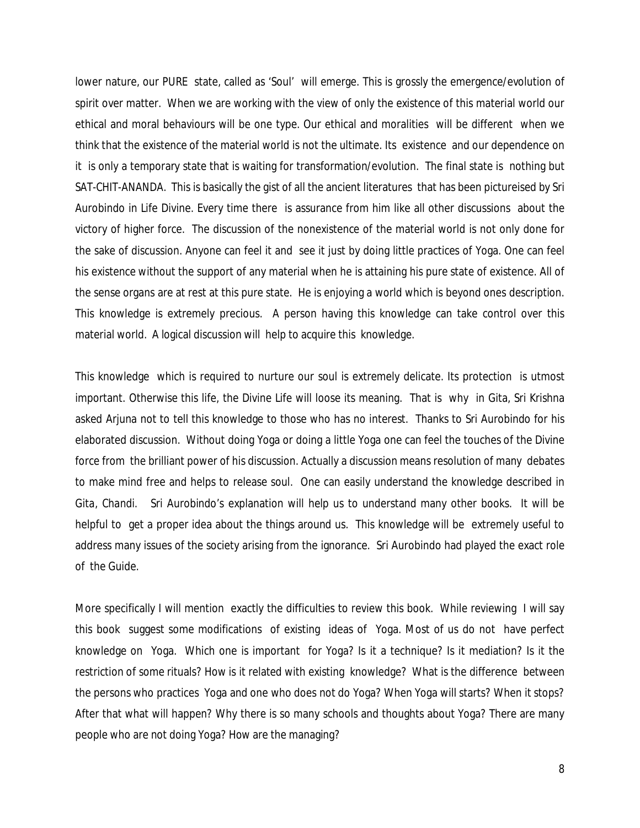lower nature, our PURE state, called as 'Soul' will emerge. This is grossly the emergence/evolution of spirit over matter. When we are working with the view of only the existence of this material world our ethical and moral behaviours will be one type. Our ethical and moralities will be different when we think that the existence of the material world is not the ultimate. Its existence and our dependence on it is only a temporary state that is waiting for transformation/evolution. The final state is nothing but *SAT-CHIT-ANANDA.* This is basically the gist of all the ancient literatures that has been pictureised by Sri Aurobindo in Life Divine. Every time there is assurance from him like all other discussions about the victory of higher force. The discussion of the nonexistence of the material world is not only done for the sake of discussion. Anyone can feel it and see it just by doing little practices of Yoga. One can feel his existence without the support of any material when he is attaining his pure state of existence. All of the sense organs are at rest at this pure state. He is enjoying a world which is beyond ones description. This knowledge is extremely precious. A person having this knowledge can take control over this material world. A logical discussion will help to acquire this knowledge.

This knowledge which is required to nurture our soul is extremely delicate. Its protection is utmost important. Otherwise this life, the Divine Life will loose its meaning. That is why in Gita, Sri Krishna asked Arjuna not to tell this knowledge to those who has no interest. Thanks to Sri Aurobindo for his elaborated discussion. Without doing Yoga or doing a little Yoga one can feel the touches of the Divine force from the brilliant power of his discussion. Actually a discussion means resolution of many debates to make mind free and helps to release soul. One can easily understand the knowledge described in *Gita, Chandi*. Sri Aurobindo's explanation will help us to understand many other books. It will be helpful to get a proper idea about the things around us. This knowledge will be extremely useful to address many issues of the society arising from the ignorance. Sri Aurobindo had played the exact role of the Guide.

More specifically I will mention exactly the difficulties to review this book. While reviewing I will say this book suggest some modifications of existing ideas of Yoga. Most of us do not have perfect knowledge on Yoga. Which one is important for Yoga? Is it a technique? Is it mediation? Is it the restriction of some rituals? How is it related with existing knowledge? What is the difference between the persons who practices Yoga and one who does not do Yoga? When Yoga will starts? When it stops? After that what will happen? Why there is so many schools and thoughts about Yoga? There are many people who are not doing Yoga? How are the managing?

8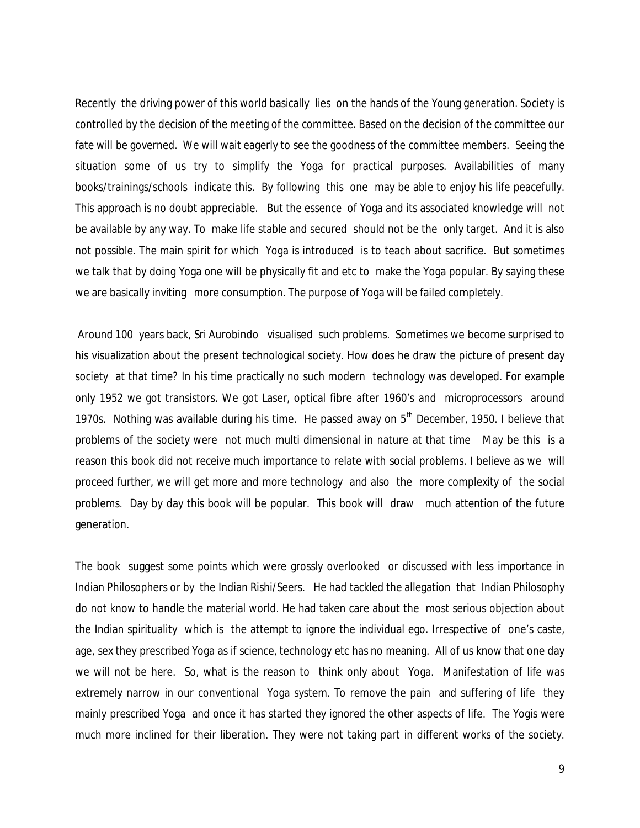Recently the driving power of this world basically lies on the hands of the Young generation. Society is controlled by the decision of the meeting of the committee. Based on the decision of the committee our fate will be governed. We will wait eagerly to see the goodness of the committee members. Seeing the situation some of us try to simplify the Yoga for practical purposes. Availabilities of many books/trainings/schools indicate this. By following this one may be able to enjoy his life peacefully. This approach is no doubt appreciable. But the essence of Yoga and its associated knowledge will not be available by any way. To make life stable and secured should not be the only target. And it is also not possible. The main spirit for which Yoga is introduced is to teach about sacrifice. But sometimes we talk that by doing Yoga one will be physically fit and etc to make the Yoga popular. By saying these we are basically inviting more consumption. The purpose of Yoga will be failed completely.

Around 100 years back, Sri Aurobindo visualised such problems. Sometimes we become surprised to his visualization about the present technological society. How does he draw the picture of present day society at that time? In his time practically no such modern technology was developed. For example only 1952 we got transistors. We got Laser, optical fibre after 1960's and microprocessors around 1970s. Nothing was available during his time. He passed away on  $5<sup>th</sup>$  December, 1950. I believe that problems of the society were not much multi dimensional in nature at that time May be this is a reason this book did not receive much importance to relate with social problems. I believe as we will proceed further, we will get more and more technology and also the more complexity of the social problems. Day by day this book will be popular. This book will draw much attention of the future generation.

The book suggest some points which were grossly overlooked or discussed with less importance in Indian Philosophers or by the Indian Rishi/Seers. He had tackled the allegation that Indian Philosophy do not know to handle the material world. He had taken care about the most serious objection about the Indian spirituality which is the attempt to ignore the individual ego. Irrespective of one's caste, age, sex they prescribed Yoga as if science, technology etc has no meaning. All of us know that one day we will not be here. So, what is the reason to think only about Yoga. Manifestation of life was extremely narrow in our conventional Yoga system. To remove the pain and suffering of life they mainly prescribed Yoga and once it has started they ignored the other aspects of life. The Yogis were much more inclined for their liberation. They were not taking part in different works of the society.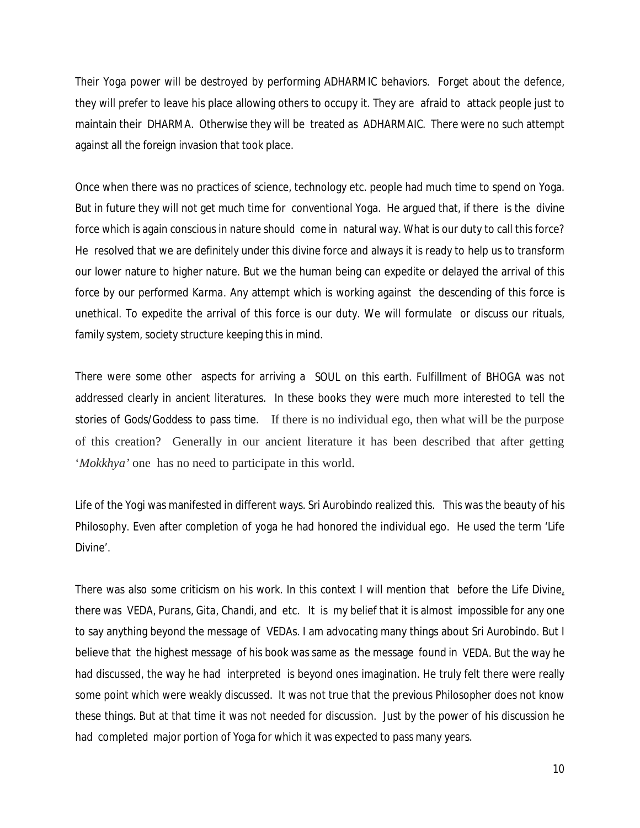Their Yoga power will be destroyed by performing *ADHARMIC* behaviors. Forget about the defence, they will prefer to leave his place allowing others to occupy it. They are afraid to attack people just to maintain their *DHARMA*. Otherwise they will be treated as *ADHARMAIC.* There were no such attempt against all the foreign invasion that took place.

Once when there was no practices of science, technology etc. people had much time to spend on Yoga. But in future they will not get much time for conventional Yoga. He argued that, if there is the divine force which is again conscious in nature should come in natural way. What is our duty to call this force? He resolved that we are definitely under this divine force and always it is ready to help us to transform our lower nature to higher nature. But we the human being can expedite or delayed the arrival of this force by our performed *Karma*. Any attempt which is working against the descending of this force is unethical. To expedite the arrival of this force is our duty. We will formulate or discuss our rituals, family system, society structure keeping this in mind.

There were some other aspects for arriving a *SOUL* on this earth. Fulfillment of *BHOGA* was not addressed clearly in ancient literatures. In these books they were much more interested to tell the stories of *Gods/Goddess* to pass time. If there is no individual ego, then what will be the purpose of this creation? Generally in our ancient literature it has been described that after getting '*Mokkhya'* one has no need to participate in this world.

Life of the Yogi was manifested in different ways. Sri Aurobindo realized this. This was the beauty of his Philosophy. Even after completion of yoga he had honored the individual ego. He used the term 'Life Divine'.

There was also some criticism on his work. In this context I will mention that before the Life Divine, there was *VEDA, Purans, Gita, Chandi,* and etc. It is my belief that it is almost impossible for any one to say anything beyond the message of VEDAs. I am advocating many things about Sri Aurobindo. But I believe that the highest message of his book was same as the message found in *VEDA*. But the way he had discussed, the way he had interpreted is beyond ones imagination. He truly felt there were really some point which were weakly discussed. It was not true that the previous Philosopher does not know these things. But at that time it was not needed for discussion. Just by the power of his discussion he had completed major portion of Yoga for which it was expected to pass many years.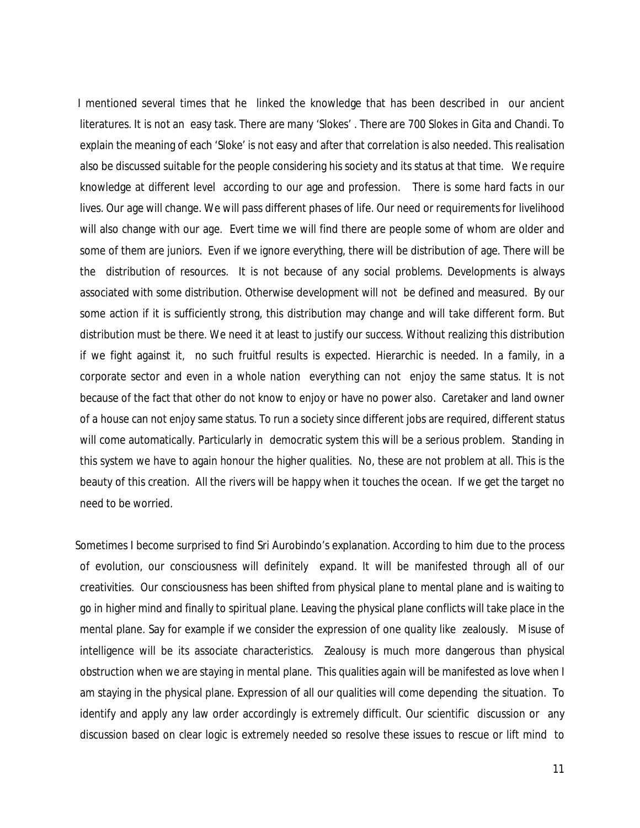I mentioned several times that he linked the knowledge that has been described in our ancient literatures. It is not an easy task. There are many '*Slokes'* . There are 700 *Slokes* in Gita and Chandi. To explain the meaning of each '*Sloke*' is not easy and after that correlation is also needed. This realisation also be discussed suitable for the people considering his society and its status at that time. We require knowledge at different level according to our age and profession. There is some hard facts in our lives. Our age will change. We will pass different phases of life. Our need or requirements for livelihood will also change with our age. Evert time we will find there are people some of whom are older and some of them are juniors. Even if we ignore everything, there will be distribution of age. There will be the distribution of resources. It is not because of any social problems. Developments is always associated with some distribution. Otherwise development will not be defined and measured. By our some action if it is sufficiently strong, this distribution may change and will take different form. But distribution must be there. We need it at least to justify our success. Without realizing this distribution if we fight against it, no such fruitful results is expected. Hierarchic is needed. In a family, in a corporate sector and even in a whole nation everything can not enjoy the same status. It is not because of the fact that other do not know to enjoy or have no power also. Caretaker and land owner of a house can not enjoy same status. To run a society since different jobs are required, different status will come automatically. Particularly in democratic system this will be a serious problem. Standing in this system we have to again honour the higher qualities. No, these are not problem at all. This is the beauty of this creation. All the rivers will be happy when it touches the ocean. If we get the target no need to be worried.

Sometimes I become surprised to find Sri Aurobindo's explanation. According to him due to the process of evolution, our consciousness will definitely expand. It will be manifested through all of our creativities. Our consciousness has been shifted from physical plane to mental plane and is waiting to go in higher mind and finally to spiritual plane. Leaving the physical plane conflicts will take place in the mental plane. Say for example if we consider the expression of one quality like zealously. Misuse of intelligence will be its associate characteristics. Zealousy is much more dangerous than physical obstruction when we are staying in mental plane. This qualities again will be manifested as love when I am staying in the physical plane. Expression of all our qualities will come depending the situation. To identify and apply any law order accordingly is extremely difficult. Our scientific discussion or any discussion based on clear logic is extremely needed so resolve these issues to rescue or lift mind to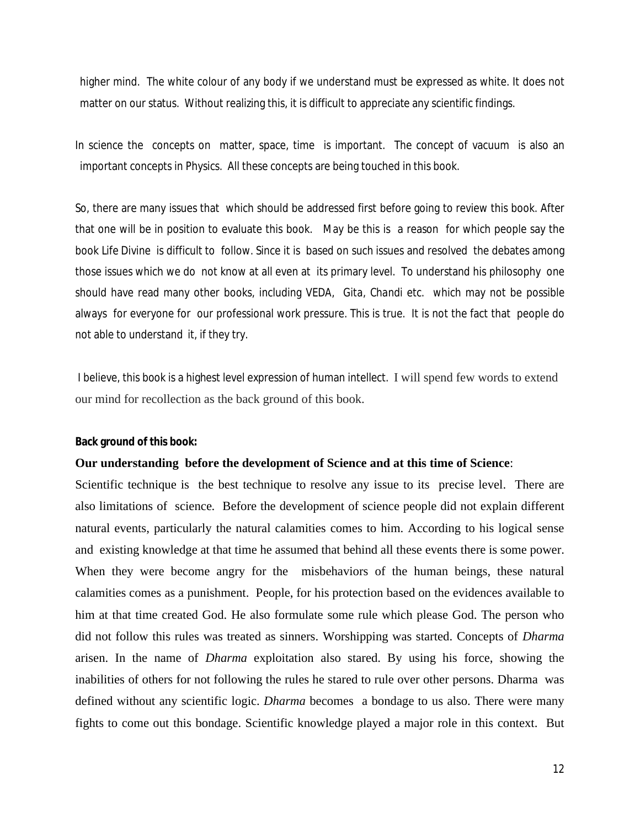higher mind. The white colour of any body if we understand must be expressed as white. It does not matter on our status. Without realizing this, it is difficult to appreciate any scientific findings.

In science the concepts on matter, space, time is important. The concept of vacuum is also an important concepts in Physics. All these concepts are being touched in this book.

So, there are many issues that which should be addressed first before going to review this book. After that one will be in position to evaluate this book. May be this is a reason for which people say the book Life Divine is difficult to follow. Since it is based on such issues and resolved the debates among those issues which we do not know at all even at its primary level. To understand his philosophy one should have read many other books, including *VEDA, Gita, Chandi* etc. which may not be possible always for everyone for our professional work pressure. This is true. It is not the fact that people do not able to understand it, if they try.

I believe, this book is a highest level expression of human intellect. I will spend few words to extend our mind for recollection as the back ground of this book.

**Back ground of this book:**

#### **Our understanding before the development of Science and at this time of Science**:

Scientific technique is the best technique to resolve any issue to its precise level. There are also limitations of science. Before the development of science people did not explain different natural events, particularly the natural calamities comes to him. According to his logical sense and existing knowledge at that time he assumed that behind all these events there is some power. When they were become angry for the misbehaviors of the human beings, these natural calamities comes as a punishment. People, for his protection based on the evidences available to him at that time created God. He also formulate some rule which please God. The person who did not follow this rules was treated as sinners. Worshipping was started. Concepts of *Dharma* arisen. In the name of *Dharma* exploitation also stared. By using his force, showing the inabilities of others for not following the rules he stared to rule over other persons. Dharma was defined without any scientific logic. *Dharma* becomes a bondage to us also. There were many fights to come out this bondage. Scientific knowledge played a major role in this context. But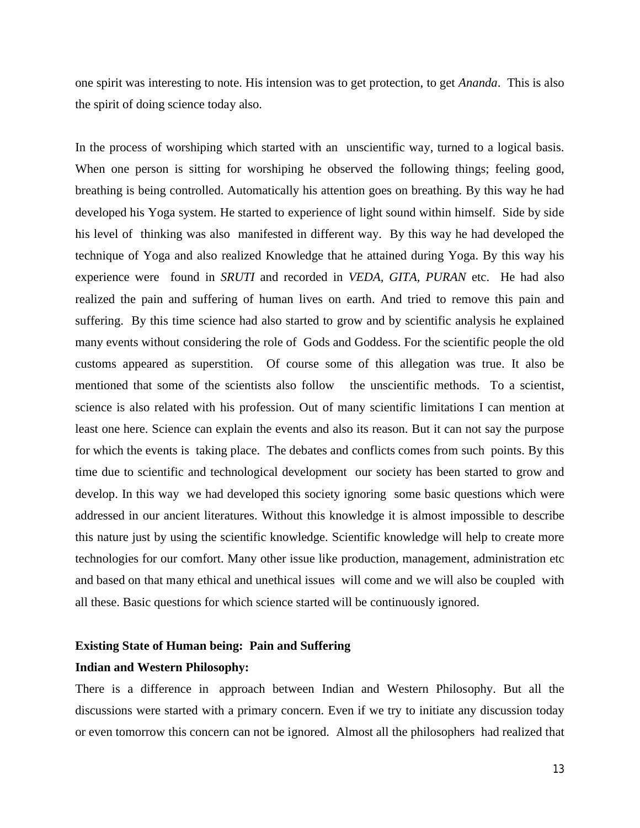one spirit was interesting to note. His intension was to get protection, to get *Ananda*. This is also the spirit of doing science today also.

In the process of worshiping which started with an unscientific way, turned to a logical basis. When one person is sitting for worshiping he observed the following things; feeling good, breathing is being controlled. Automatically his attention goes on breathing. By this way he had developed his Yoga system. He started to experience of light sound within himself. Side by side his level of thinking was also manifested in different way. By this way he had developed the technique of Yoga and also realized Knowledge that he attained during Yoga. By this way his experience were found in *SRUTI* and recorded in *VEDA, GITA, PURAN* etc. He had also realized the pain and suffering of human lives on earth. And tried to remove this pain and suffering. By this time science had also started to grow and by scientific analysis he explained many events without considering the role of Gods and Goddess. For the scientific people the old customs appeared as superstition. Of course some of this allegation was true. It also be mentioned that some of the scientists also follow the unscientific methods. To a scientist, science is also related with his profession. Out of many scientific limitations I can mention at least one here. Science can explain the events and also its reason. But it can not say the purpose for which the events is taking place. The debates and conflicts comes from such points. By this time due to scientific and technological development our society has been started to grow and develop. In this way we had developed this society ignoring some basic questions which were addressed in our ancient literatures. Without this knowledge it is almost impossible to describe this nature just by using the scientific knowledge. Scientific knowledge will help to create more technologies for our comfort. Many other issue like production, management, administration etc and based on that many ethical and unethical issues will come and we will also be coupled with all these. Basic questions for which science started will be continuously ignored.

# **Existing State of Human being: Pain and Suffering**

# **Indian and Western Philosophy:**

There is a difference in approach between Indian and Western Philosophy. But all the discussions were started with a primary concern. Even if we try to initiate any discussion today or even tomorrow this concern can not be ignored. Almost all the philosophers had realized that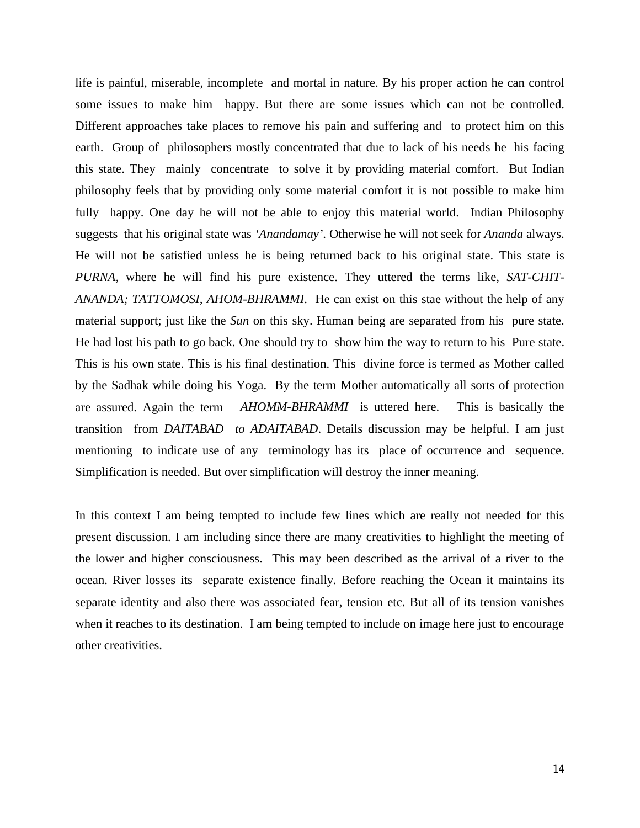life is painful, miserable, incomplete and mortal in nature. By his proper action he can control some issues to make him happy. But there are some issues which can not be controlled. Different approaches take places to remove his pain and suffering and to protect him on this earth. Group of philosophers mostly concentrated that due to lack of his needs he his facing this state. They mainly concentrate to solve it by providing material comfort. But Indian philosophy feels that by providing only some material comfort it is not possible to make him fully happy. One day he will not be able to enjoy this material world. Indian Philosophy suggests that his original state was *'Anandamay'*. Otherwise he will not seek for *Ananda* always. He will not be satisfied unless he is being returned back to his original state. This state is *PURNA,* where he will find his pure existence. They uttered the terms like, *SAT-CHIT-ANANDA; TATTOMOSI*, *AHOM-BHRAMMI*. He can exist on this stae without the help of any material support; just like the *Sun* on this sky. Human being are separated from his pure state. He had lost his path to go back. One should try to show him the way to return to his Pure state. This is his own state. This is his final destination. This divine force is termed as Mother called by the Sadhak while doing his Yoga. By the term Mother automatically all sorts of protection are assured. Again the term *AHOMM-BHRAMMI* is uttered here. This is basically the transition from *DAITABAD to ADAITABAD*. Details discussion may be helpful. I am just mentioning to indicate use of any terminology has its place of occurrence and sequence. Simplification is needed. But over simplification will destroy the inner meaning.

In this context I am being tempted to include few lines which are really not needed for this present discussion. I am including since there are many creativities to highlight the meeting of the lower and higher consciousness. This may been described as the arrival of a river to the ocean. River losses its separate existence finally. Before reaching the Ocean it maintains its separate identity and also there was associated fear, tension etc. But all of its tension vanishes when it reaches to its destination. I am being tempted to include on image here just to encourage other creativities.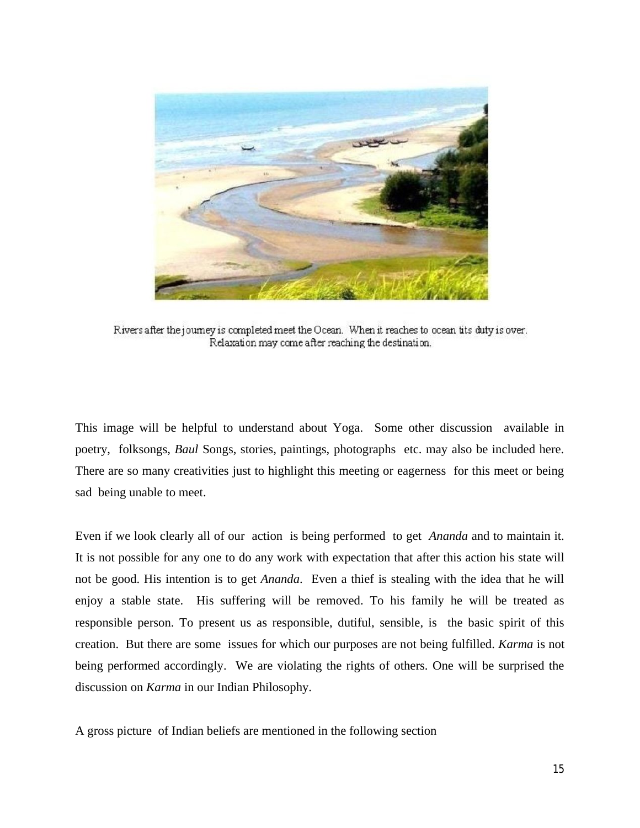

Rivers after the journey is completed meet the Ocean. When it reaches to ocean tits duty is over. Relaxation may come after reaching the destination.

This image will be helpful to understand about Yoga. Some other discussion available in poetry, folksongs, *Baul* Songs, stories, paintings, photographs etc. may also be included here. There are so many creativities just to highlight this meeting or eagerness for this meet or being sad being unable to meet.

Even if we look clearly all of our action is being performed to get *Ananda* and to maintain it. It is not possible for any one to do any work with expectation that after this action his state will not be good. His intention is to get *Ananda*. Even a thief is stealing with the idea that he will enjoy a stable state. His suffering will be removed. To his family he will be treated as responsible person. To present us as responsible, dutiful, sensible, is the basic spirit of this creation. But there are some issues for which our purposes are not being fulfilled. *Karma* is not being performed accordingly. We are violating the rights of others. One will be surprised the discussion on *Karma* in our Indian Philosophy.

A gross picture of Indian beliefs are mentioned in the following section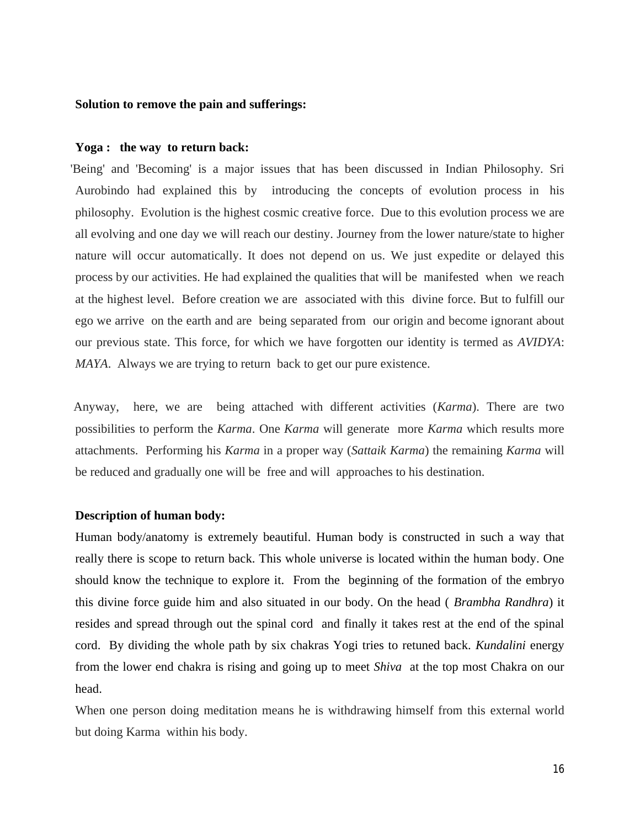# **Solution to remove the pain and sufferings:**

#### **Yoga : the way to return back:**

'Being' and 'Becoming' is a major issues that has been discussed in Indian Philosophy. Sri Aurobindo had explained this by introducing the concepts of evolution process in his philosophy. Evolution is the highest cosmic creative force. Due to this evolution process we are all evolving and one day we will reach our destiny. Journey from the lower nature/state to higher nature will occur automatically. It does not depend on us. We just expedite or delayed this process by our activities. He had explained the qualities that will be manifested when we reach at the highest level. Before creation we are associated with this divine force. But to fulfill our ego we arrive on the earth and are being separated from our origin and become ignorant about our previous state. This force, for which we have forgotten our identity is termed as *AVIDYA*: *MAYA*. Always we are trying to return back to get our pure existence.

Anyway, here, we are being attached with different activities (*Karma*). There are two possibilities to perform the *Karma*. One *Karma* will generate more *Karma* which results more attachments. Performing his *Karma* in a proper way (*Sattaik Karma*) the remaining *Karma* will be reduced and gradually one will be free and will approaches to his destination.

# **Description of human body:**

Human body/anatomy is extremely beautiful. Human body is constructed in such a way that really there is scope to return back. This whole universe is located within the human body. One should know the technique to explore it. From the beginning of the formation of the embryo this divine force guide him and also situated in our body. On the head ( *Brambha Randhra*) it resides and spread through out the spinal cord and finally it takes rest at the end of the spinal cord. By dividing the whole path by six chakras Yogi tries to retuned back. *Kundalini* energy from the lower end chakra is rising and going up to meet *Shiva* at the top most Chakra on our head.

When one person doing meditation means he is withdrawing himself from this external world but doing Karma within his body.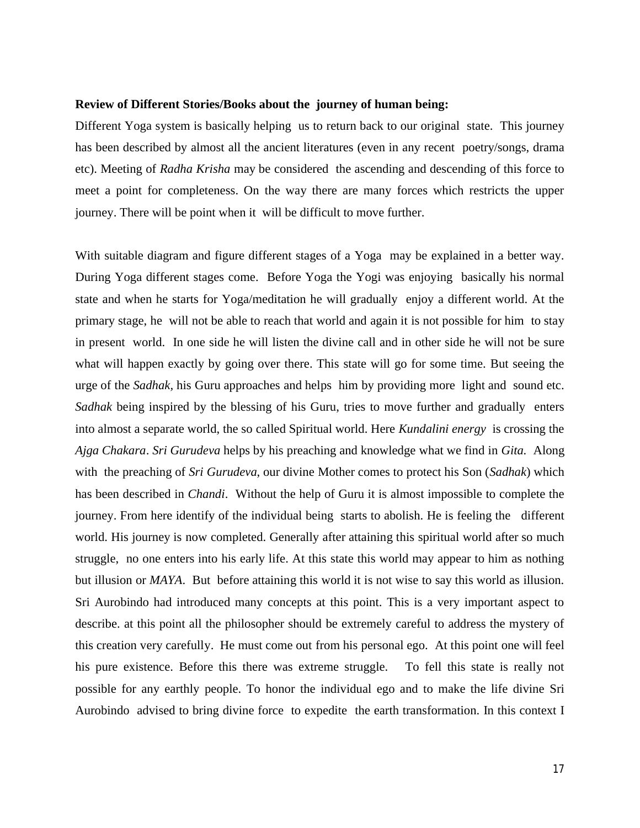#### **Review of Different Stories/Books about the journey of human being:**

Different Yoga system is basically helping us to return back to our original state. This journey has been described by almost all the ancient literatures (even in any recent poetry/songs, drama etc). Meeting of *Radha Krisha* may be considered the ascending and descending of this force to meet a point for completeness. On the way there are many forces which restricts the upper journey. There will be point when it will be difficult to move further.

With suitable diagram and figure different stages of a Yoga may be explained in a better way. During Yoga different stages come. Before Yoga the Yogi was enjoying basically his normal state and when he starts for Yoga/meditation he will gradually enjoy a different world. At the primary stage, he will not be able to reach that world and again it is not possible for him to stay in present world. In one side he will listen the divine call and in other side he will not be sure what will happen exactly by going over there. This state will go for some time. But seeing the urge of the *Sadhak,* his Guru approaches and helps him by providing more light and sound etc. *Sadhak* being inspired by the blessing of his Guru, tries to move further and gradually enters into almost a separate world, the so called Spiritual world. Here *Kundalini energy* is crossing the *Ajga Chakara*. *Sri Gurudeva* helps by his preaching and knowledge what we find in *Gita.* Along with the preaching of *Sri Gurudeva*, our divine Mother comes to protect his Son (*Sadhak*) which has been described in *Chandi*. Without the help of Guru it is almost impossible to complete the journey. From here identify of the individual being starts to abolish. He is feeling the different world. His journey is now completed. Generally after attaining this spiritual world after so much struggle, no one enters into his early life. At this state this world may appear to him as nothing but illusion or *MAYA*. But before attaining this world it is not wise to say this world as illusion. Sri Aurobindo had introduced many concepts at this point. This is a very important aspect to describe. at this point all the philosopher should be extremely careful to address the mystery of this creation very carefully. He must come out from his personal ego. At this point one will feel his pure existence. Before this there was extreme struggle. To fell this state is really not possible for any earthly people. To honor the individual ego and to make the life divine Sri Aurobindo advised to bring divine force to expedite the earth transformation. In this context I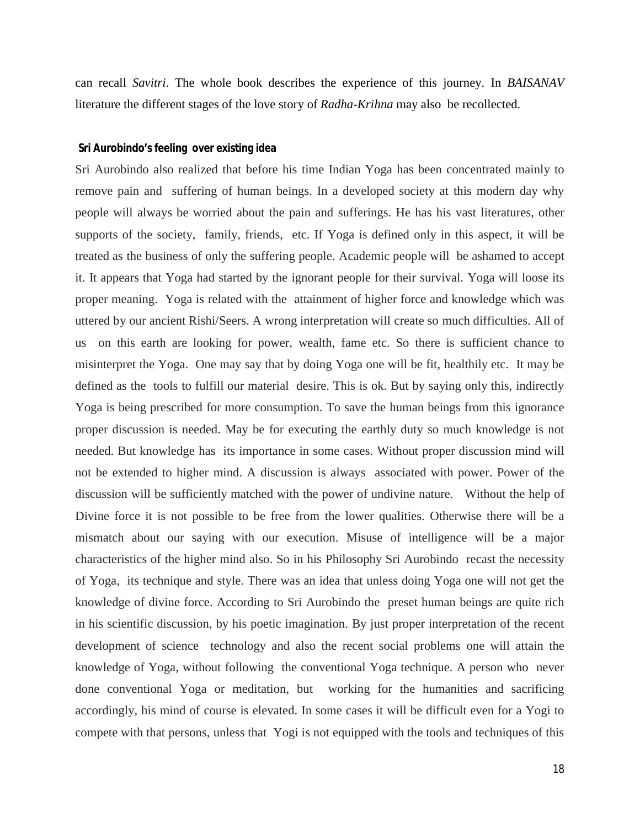can recall *Savitri*. The whole book describes the experience of this journey. In *BAISANAV* literature the different stages of the love story of *Radha-Krihna* may also be recollected.

#### **Sri Aurobindo's feeling over existing idea**

Sri Aurobindo also realized that before his time Indian Yoga has been concentrated mainly to remove pain and suffering of human beings. In a developed society at this modern day why people will always be worried about the pain and sufferings. He has his vast literatures, other supports of the society, family, friends, etc. If Yoga is defined only in this aspect, it will be treated as the business of only the suffering people. Academic people will be ashamed to accept it. It appears that Yoga had started by the ignorant people for their survival. Yoga will loose its proper meaning. Yoga is related with the attainment of higher force and knowledge which was uttered by our ancient Rishi/Seers. A wrong interpretation will create so much difficulties. All of us on this earth are looking for power, wealth, fame etc. So there is sufficient chance to misinterpret the Yoga. One may say that by doing Yoga one will be fit, healthily etc. It may be defined as the tools to fulfill our material desire. This is ok. But by saying only this, indirectly Yoga is being prescribed for more consumption. To save the human beings from this ignorance proper discussion is needed. May be for executing the earthly duty so much knowledge is not needed. But knowledge has its importance in some cases. Without proper discussion mind will not be extended to higher mind. A discussion is always associated with power. Power of the discussion will be sufficiently matched with the power of undivine nature. Without the help of Divine force it is not possible to be free from the lower qualities. Otherwise there will be a mismatch about our saying with our execution. Misuse of intelligence will be a major characteristics of the higher mind also. So in his Philosophy Sri Aurobindo recast the necessity of Yoga, its technique and style. There was an idea that unless doing Yoga one will not get the knowledge of divine force. According to Sri Aurobindo the preset human beings are quite rich in his scientific discussion, by his poetic imagination. By just proper interpretation of the recent development of science technology and also the recent social problems one will attain the knowledge of Yoga, without following the conventional Yoga technique. A person who never done conventional Yoga or meditation, but working for the humanities and sacrificing accordingly, his mind of course is elevated. In some cases it will be difficult even for a Yogi to compete with that persons, unless that Yogi is not equipped with the tools and techniques of this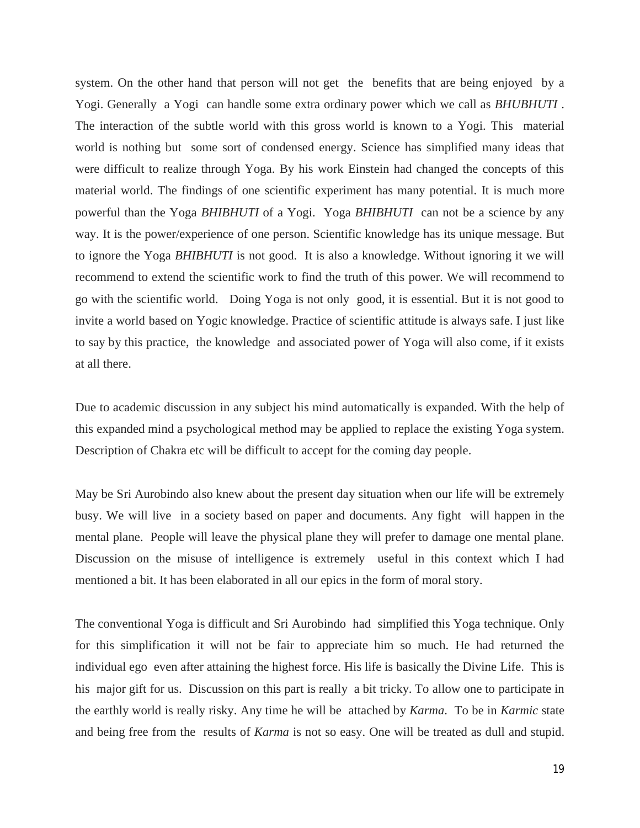system. On the other hand that person will not get the benefits that are being enjoyed by a Yogi. Generally a Yogi can handle some extra ordinary power which we call as *BHUBHUTI* . The interaction of the subtle world with this gross world is known to a Yogi. This material world is nothing but some sort of condensed energy. Science has simplified many ideas that were difficult to realize through Yoga. By his work Einstein had changed the concepts of this material world. The findings of one scientific experiment has many potential. It is much more powerful than the Yoga *BHIBHUTI* of a Yogi. Yoga *BHIBHUTI* can not be a science by any way. It is the power/experience of one person. Scientific knowledge has its unique message. But to ignore the Yoga *BHIBHUTI* is not good. It is also a knowledge. Without ignoring it we will recommend to extend the scientific work to find the truth of this power. We will recommend to go with the scientific world. Doing Yoga is not only good, it is essential. But it is not good to invite a world based on Yogic knowledge. Practice of scientific attitude is always safe. I just like to say by this practice, the knowledge and associated power of Yoga will also come, if it exists at all there.

Due to academic discussion in any subject his mind automatically is expanded. With the help of this expanded mind a psychological method may be applied to replace the existing Yoga system. Description of Chakra etc will be difficult to accept for the coming day people.

May be Sri Aurobindo also knew about the present day situation when our life will be extremely busy. We will live in a society based on paper and documents. Any fight will happen in the mental plane. People will leave the physical plane they will prefer to damage one mental plane. Discussion on the misuse of intelligence is extremely useful in this context which I had mentioned a bit. It has been elaborated in all our epics in the form of moral story.

The conventional Yoga is difficult and Sri Aurobindo had simplified this Yoga technique. Only for this simplification it will not be fair to appreciate him so much. He had returned the individual ego even after attaining the highest force. His life is basically the Divine Life. This is his major gift for us. Discussion on this part is really a bit tricky. To allow one to participate in the earthly world is really risky. Any time he will be attached by *Karma*. To be in *Karmic* state and being free from the results of *Karma* is not so easy. One will be treated as dull and stupid.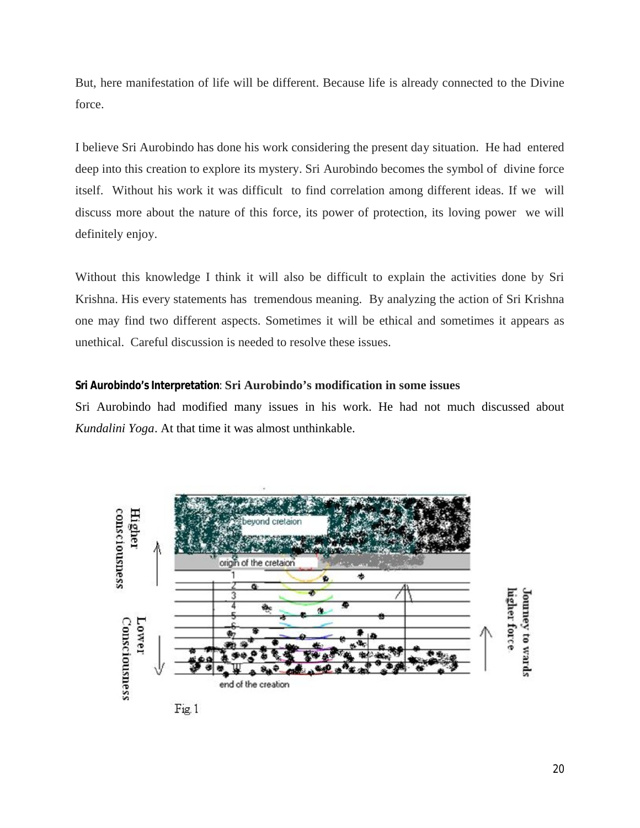But, here manifestation of life will be different. Because life is already connected to the Divine force.

I believe Sri Aurobindo has done his work considering the present day situation. He had entered deep into this creation to explore its mystery. Sri Aurobindo becomes the symbol of divine force itself. Without his work it was difficult to find correlation among different ideas. If we will discuss more about the nature of this force, its power of protection, its loving power we will definitely enjoy.

Without this knowledge I think it will also be difficult to explain the activities done by Sri Krishna. His every statements has tremendous meaning. By analyzing the action of Sri Krishna one may find two different aspects. Sometimes it will be ethical and sometimes it appears as unethical. Careful discussion is needed to resolve these issues.

# **Sri Aurobindo's Interpretation**: **Sri Aurobindo's modification in some issues**

Sri Aurobindo had modified many issues in his work. He had not much discussed about *Kundalini Yoga*. At that time it was almost unthinkable.

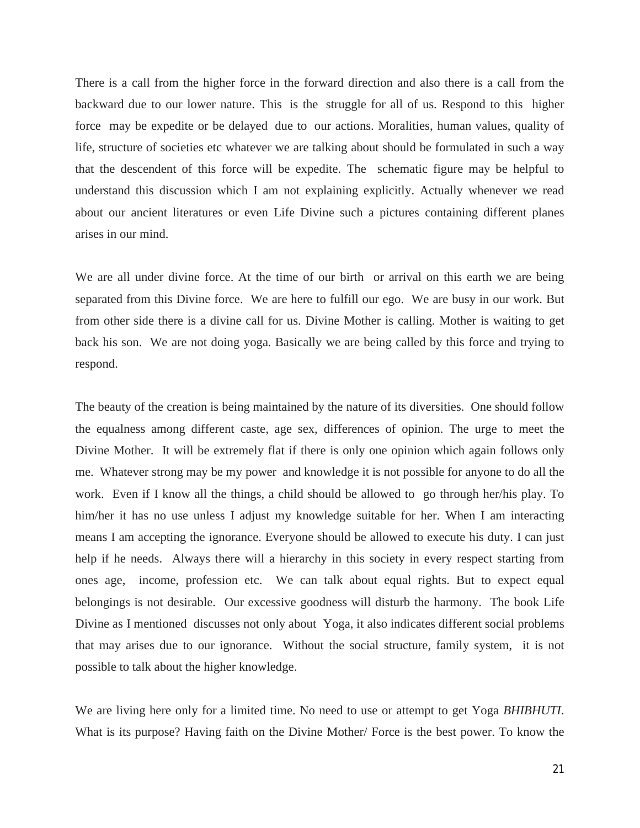There is a call from the higher force in the forward direction and also there is a call from the backward due to our lower nature. This is the struggle for all of us. Respond to this higher force may be expedite or be delayed due to our actions. Moralities, human values, quality of life, structure of societies etc whatever we are talking about should be formulated in such a way that the descendent of this force will be expedite. The schematic figure may be helpful to understand this discussion which I am not explaining explicitly. Actually whenever we read about our ancient literatures or even Life Divine such a pictures containing different planes arises in our mind.

We are all under divine force. At the time of our birth or arrival on this earth we are being separated from this Divine force. We are here to fulfill our ego. We are busy in our work. But from other side there is a divine call for us. Divine Mother is calling. Mother is waiting to get back his son. We are not doing yoga. Basically we are being called by this force and trying to respond.

The beauty of the creation is being maintained by the nature of its diversities. One should follow the equalness among different caste, age sex, differences of opinion. The urge to meet the Divine Mother. It will be extremely flat if there is only one opinion which again follows only me. Whatever strong may be my power and knowledge it is not possible for anyone to do all the work. Even if I know all the things, a child should be allowed to go through her/his play. To him/her it has no use unless I adjust my knowledge suitable for her. When I am interacting means I am accepting the ignorance. Everyone should be allowed to execute his duty. I can just help if he needs. Always there will a hierarchy in this society in every respect starting from ones age, income, profession etc. We can talk about equal rights. But to expect equal belongings is not desirable. Our excessive goodness will disturb the harmony. The book Life Divine as I mentioned discusses not only about Yoga, it also indicates different social problems that may arises due to our ignorance. Without the social structure, family system, it is not possible to talk about the higher knowledge.

We are living here only for a limited time. No need to use or attempt to get Yoga *BHIBHUTI*. What is its purpose? Having faith on the Divine Mother/ Force is the best power. To know the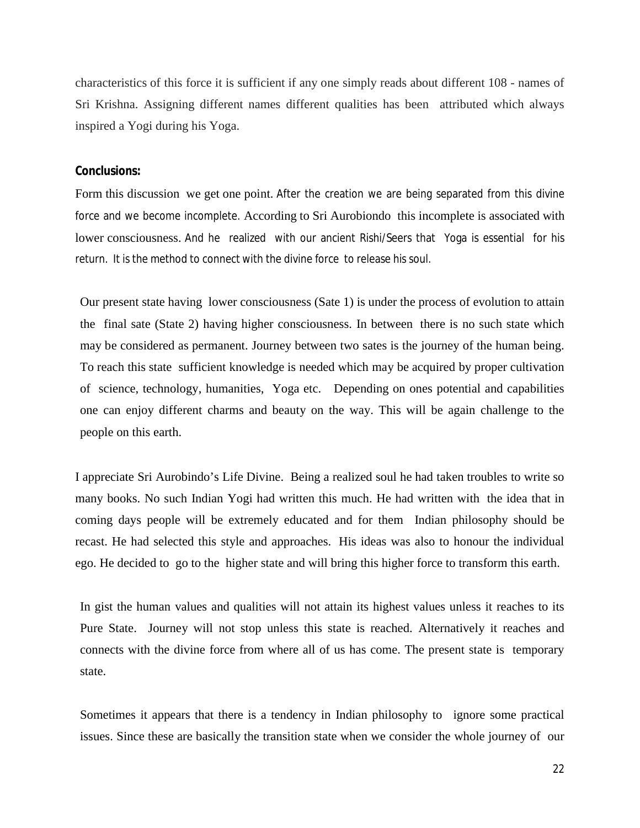characteristics of this force it is sufficient if any one simply reads about different 108 - names of Sri Krishna. Assigning different names different qualities has been attributed which always inspired a Yogi during his Yoga.

#### **Conclusions:**

Form this discussion we get one point. After the creation we are being separated from this divine force and we become incomplete. According to Sri Aurobiondo this incomplete is associated with lower consciousness. And he realized with our ancient Rishi/Seers that Yoga is essential for his return. It is the method to connect with the divine force to release his soul.

Our present state having lower consciousness (Sate 1) is under the process of evolution to attain the final sate (State 2) having higher consciousness. In between there is no such state which may be considered as permanent. Journey between two sates is the journey of the human being. To reach this state sufficient knowledge is needed which may be acquired by proper cultivation of science, technology, humanities, Yoga etc. Depending on ones potential and capabilities one can enjoy different charms and beauty on the way. This will be again challenge to the people on this earth.

I appreciate Sri Aurobindo's Life Divine. Being a realized soul he had taken troubles to write so many books. No such Indian Yogi had written this much. He had written with the idea that in coming days people will be extremely educated and for them Indian philosophy should be recast. He had selected this style and approaches. His ideas was also to honour the individual ego. He decided to go to the higher state and will bring this higher force to transform this earth.

In gist the human values and qualities will not attain its highest values unless it reaches to its Pure State. Journey will not stop unless this state is reached. Alternatively it reaches and connects with the divine force from where all of us has come. The present state is temporary state.

Sometimes it appears that there is a tendency in Indian philosophy to ignore some practical issues. Since these are basically the transition state when we consider the whole journey of our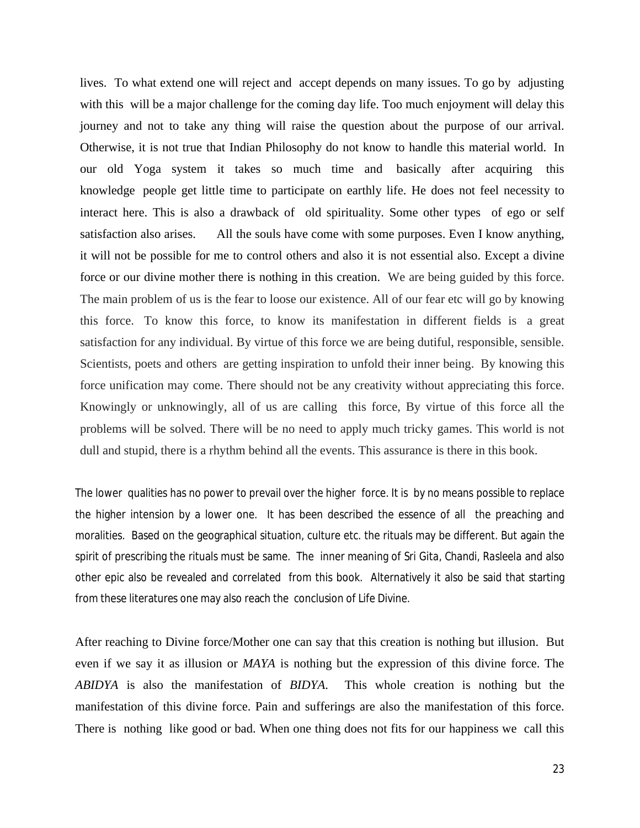lives. To what extend one will reject and accept depends on many issues. To go by adjusting with this will be a major challenge for the coming day life. Too much enjoyment will delay this journey and not to take any thing will raise the question about the purpose of our arrival. Otherwise, it is not true that Indian Philosophy do not know to handle this material world. In our old Yoga system it takes so much time and basically after acquiring this knowledge people get little time to participate on earthly life. He does not feel necessity to interact here. This is also a drawback of old spirituality. Some other types of ego or self satisfaction also arises. All the souls have come with some purposes. Even I know anything, it will not be possible for me to control others and also it is not essential also. Except a divine force or our divine mother there is nothing in this creation. We are being guided by this force. The main problem of us is the fear to loose our existence. All of our fear etc will go by knowing this force. To know this force, to know its manifestation in different fields is a great satisfaction for any individual. By virtue of this force we are being dutiful, responsible, sensible. Scientists, poets and others are getting inspiration to unfold their inner being. By knowing this force unification may come. There should not be any creativity without appreciating this force. Knowingly or unknowingly, all of us are calling this force, By virtue of this force all the problems will be solved. There will be no need to apply much tricky games. This world is not dull and stupid, there is a rhythm behind all the events. This assurance is there in this book.

The lower qualities has no power to prevail over the higher force. It is by no means possible to replace the higher intension by a lower one. It has been described the essence of all the preaching and moralities. Based on the geographical situation, culture etc. the rituals may be different. But again the spirit of prescribing the rituals must be same. The inner meaning of *Sri Gita, Chandi, Rasleela* and also other epic also be revealed and correlated from this book. Alternatively it also be said that starting from these literatures one may also reach the conclusion of Life Divine.

After reaching to Divine force/Mother one can say that this creation is nothing but illusion. But even if we say it as illusion or *MAYA* is nothing but the expression of this divine force. The *ABIDYA* is also the manifestation of *BIDYA*. This whole creation is nothing but the manifestation of this divine force. Pain and sufferings are also the manifestation of this force. There is nothing like good or bad. When one thing does not fits for our happiness we call this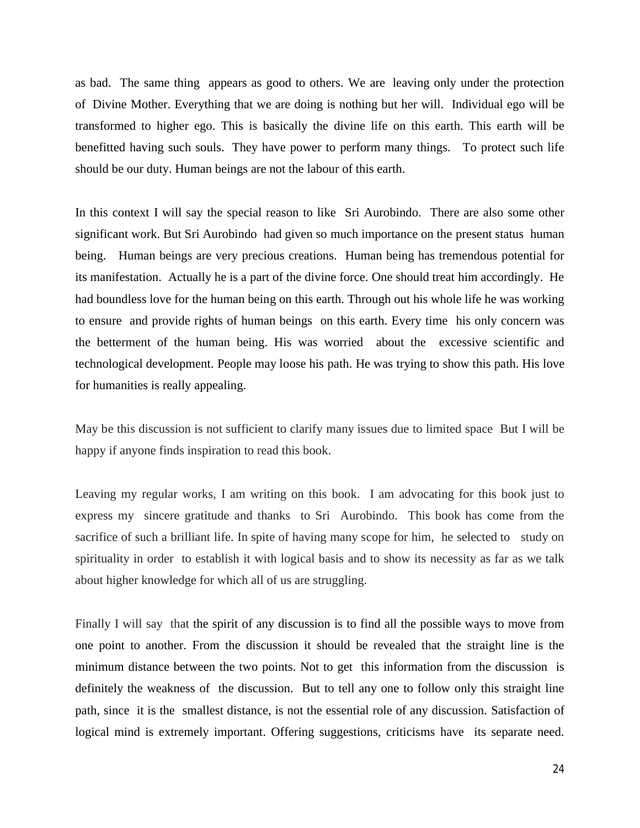as bad. The same thing appears as good to others. We are leaving only under the protection of Divine Mother. Everything that we are doing is nothing but her will. Individual ego will be transformed to higher ego. This is basically the divine life on this earth. This earth will be benefitted having such souls. They have power to perform many things. To protect such life should be our duty. Human beings are not the labour of this earth.

In this context I will say the special reason to like Sri Aurobindo. There are also some other significant work. But Sri Aurobindo had given so much importance on the present status human being. Human beings are very precious creations. Human being has tremendous potential for its manifestation. Actually he is a part of the divine force. One should treat him accordingly. He had boundless love for the human being on this earth. Through out his whole life he was working to ensure and provide rights of human beings on this earth. Every time his only concern was the betterment of the human being. His was worried about the excessive scientific and technological development. People may loose his path. He was trying to show this path. His love for humanities is really appealing.

May be this discussion is not sufficient to clarify many issues due to limited space But I will be happy if anyone finds inspiration to read this book.

Leaving my regular works, I am writing on this book. I am advocating for this book just to express my sincere gratitude and thanks to Sri Aurobindo. This book has come from the sacrifice of such a brilliant life. In spite of having many scope for him, he selected to study on spirituality in order to establish it with logical basis and to show its necessity as far as we talk about higher knowledge for which all of us are struggling.

Finally I will say that the spirit of any discussion is to find all the possible ways to move from one point to another. From the discussion it should be revealed that the straight line is the minimum distance between the two points. Not to get this information from the discussion is definitely the weakness of the discussion. But to tell any one to follow only this straight line path, since it is the smallest distance, is not the essential role of any discussion. Satisfaction of logical mind is extremely important. Offering suggestions, criticisms have its separate need.